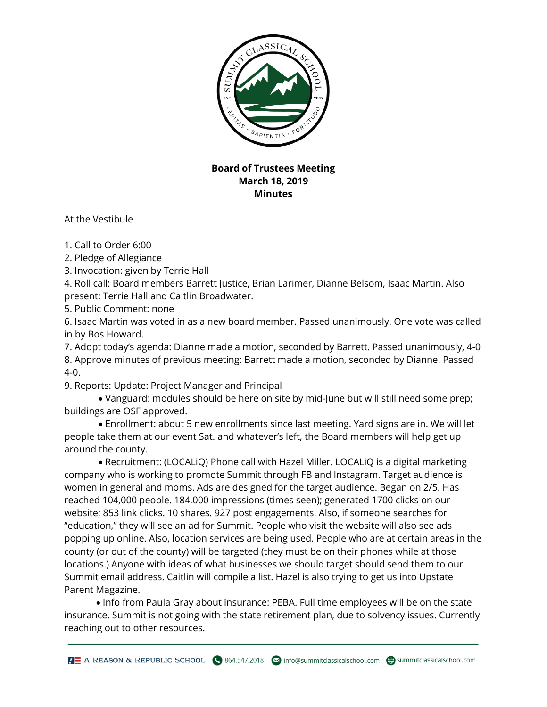

## **Board of Trustees Meeting March 18, 2019 Minutes**

At the Vestibule

1. Call to Order 6:00

2. Pledge of Allegiance

3. Invocation: given by Terrie Hall

4. Roll call: Board members Barrett Justice, Brian Larimer, Dianne Belsom, Isaac Martin. Also present: Terrie Hall and Caitlin Broadwater.

5. Public Comment: none

6. Isaac Martin was voted in as a new board member. Passed unanimously. One vote was called in by Bos Howard.

7. Adopt today's agenda: Dianne made a motion, seconded by Barrett. Passed unanimously, 4-0 8. Approve minutes of previous meeting: Barrett made a motion, seconded by Dianne. Passed 4-0.

9. Reports: Update: Project Manager and Principal

 • Vanguard: modules should be here on site by mid-June but will still need some prep; buildings are OSF approved.

 • Enrollment: about 5 new enrollments since last meeting. Yard signs are in. We will let people take them at our event Sat. and whatever's left, the Board members will help get up around the county.

 • Recruitment: (LOCALiQ) Phone call with Hazel Miller. LOCALiQ is a digital marketing company who is working to promote Summit through FB and Instagram. Target audience is women in general and moms. Ads are designed for the target audience. Began on 2/5. Has reached 104,000 people. 184,000 impressions (times seen); generated 1700 clicks on our website; 853 link clicks. 10 shares. 927 post engagements. Also, if someone searches for "education," they will see an ad for Summit. People who visit the website will also see ads popping up online. Also, location services are being used. People who are at certain areas in the county (or out of the county) will be targeted (they must be on their phones while at those locations.) Anyone with ideas of what businesses we should target should send them to our Summit email address. Caitlin will compile a list. Hazel is also trying to get us into Upstate Parent Magazine.

 • Info from Paula Gray about insurance: PEBA. Full time employees will be on the state insurance. Summit is not going with the state retirement plan, due to solvency issues. Currently reaching out to other resources.